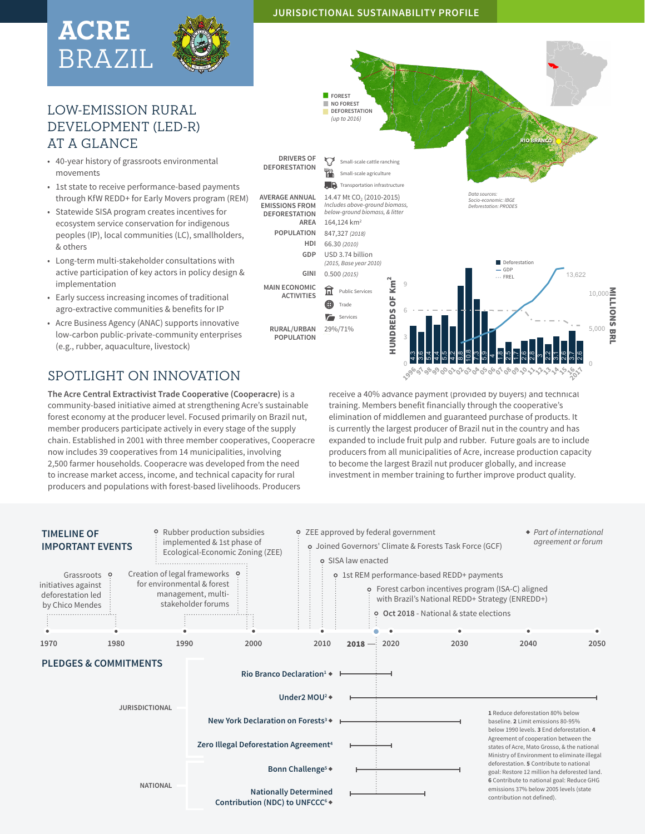# **ACRE** BRAZIL



## LOW-EMISSION RURAL DEVELOPMENT (LED-R) AT A GLANCE

- 40-year history of grassroots environmental movements
- 1st state to receive performance-based payments through KfW REDD+ for Early Movers program (REM)
- Statewide SISA program creates incentives for ecosystem service conservation for indigenous peoples (IP), local communities (LC), smallholders, & others
- Long-term multi-stakeholder consultations with active participation of key actors in policy design & implementation
- Early success increasing incomes of traditional agro-extractive communities & benefits for IP
- Acre Business Agency (ANAC) supports innovative low-carbon public-private-community enterprises (e.g., rubber, aquaculture, livestock)



**The Acre Central Extractivist Trade Cooperative (Cooperacre)** is a community-based initiative aimed at strengthening Acre's sustainable forest economy at the producer level. Focused primarily on Brazil nut, member producers participate actively in every stage of the supply chain. Established in 2001 with three member cooperatives, Cooperacre now includes 39 cooperatives from 14 municipalities, involving 2,500 farmer households. Cooperacre was developed from the need to increase market access, income, and technical capacity for rural producers and populations with forest-based livelihoods. Producers

receive a 40% advance payment (provided by buyers) and technical training. Members benefit financially through the cooperative's elimination of middlemen and guaranteed purchase of products. It is currently the largest producer of Brazil nut in the country and has expanded to include fruit pulp and rubber. Future goals are to include producers from all municipalities of Acre, increase production capacity to become the largest Brazil nut producer globally, and increase investment in member training to further improve product quality.

**02030405060708**

**091011**

12131**616** 

**2017** 

**199691** 

**98990001**



### **JURISDICTIONAL SUSTAINABILITY PROFILE**

**FOREST NO FOREST DEFORESTATION** *(up to 2016)* **RIO BRANCO DRIVERS OF DRIVERS OF Small-scale cattle ranching**<br>**DEFORESTATION** Small-scale agriculture Small-scale agriculture **TR** Transportation infrastructure **AVERAGE ANNUAL**  14.47 Mt CO<sub>2</sub> (2010-2015) *Data sources: Socio-economic: IBGE* **EMISSIONS FROM**  *Includes above-ground biomass, below-ground biomass, & litter Deforestation: PRODES* **DEFORESTATION AREA** 164,124 km2 **POPULATION** 847,327 *(2018)* **HDI** 66.30 *(2010)* **GDP** USD 3.74 billion *(2015, Base year 2010)* Deforestation GDP **GINI** 0.500 *(2015)* 13,622 ... FREL ∫<br>Km HUNDREDS OF Km2 9 **MAIN ECONOMIC ACT** Public Services<br>**4D** Trade 10,000 MILLIONS BRL ŏ Trade HUNDREDS 6  $\overline{r}$ Services **RURAL/URBAN**  29%/71% 5,000 **POPULATION** 3 10.8 4.3 3.6 5.4 4.4 5.5 4.2 .<br>ය 7.3 თ<br>ი  $\frac{8}{1}$ 2.5 1.7 2.6 2.8 2.2 2.6 3.7 2.6 3.1 4 ო 0 0